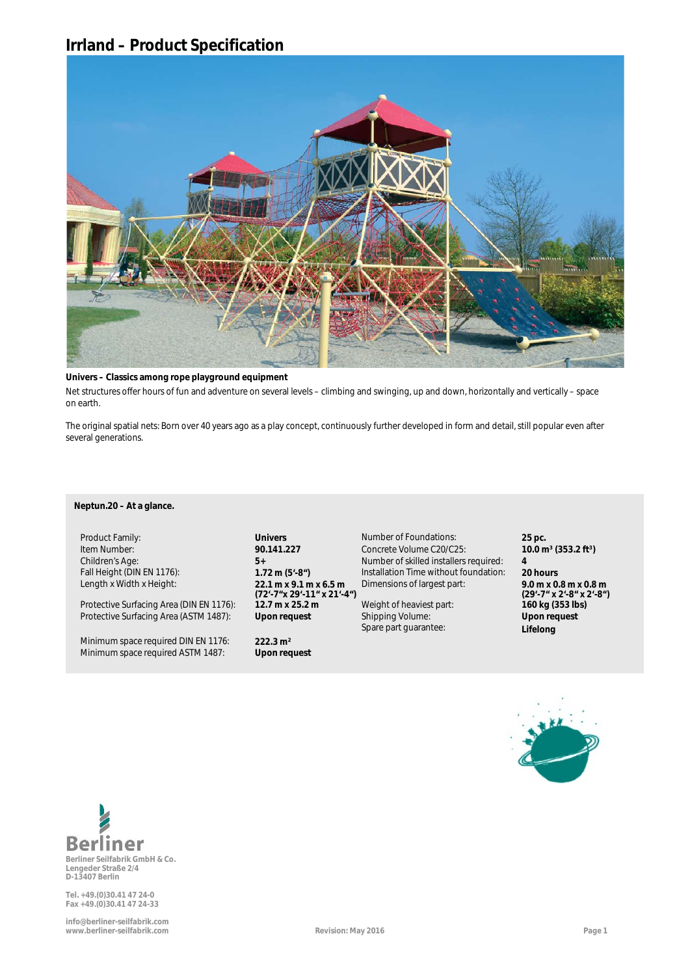## **Irrland – Product Specification**



#### **Univers – Classics among rope playground equipment**

**a** Net structures offer hours of fun and adventure on several levels – climbing and swinging, up and down, horizontally and vertically – space on earth.

The original spatial nets: Born over 40 years ago as a play concept, continuously further developed in form and detail, still popular even after several generations.

## Neptun.20 – At a glance.

Length x Width x Height: **22.1 m x 9.1 m x 6.5 m**

Protective Surfacing Area (DIN EN 1176): 12.7 m x 25.2 m Weight of heaviest part: 160 kg (353 lbs)

Mindestfallschutzfläche (ASTM 1487): **61,2 m²** TÜV-Zertifikat: Minimum space required DIN EN 1176: **222.3 m²** Minimum space required ASTM 1487: **Upon request**

Sicherheitsbereich nach DIN EN 1176: **8,9 m x 8,9 m** Gewicht des schwersten Teils: **150 kg (72'-7"x 29'-11" x 21'-4")** Protective Surfacing Area (ASTM 1487): **Upon request** Shipping Volume: **Letter Shipping Volume:** Shipping Volume: **Upon request** 

Product Family: **25 pc. Univers Univers** Number of Foundations: **25 pc. 25 pc.** Artikelnummer: **90.100.111** Betonvolumen der Güte C20/C25: **1,5 m³** Item Number: **90.141.227** Concrete Volume C20/C25: **10.0 m³ (353.2 ft³)** Spielalter: **Ab 5 Jahre** Anzahl der fachlich versierten Monteure: **2** Children's Age: **5+** Number of skilled installers required: **4** Fall Height (DIN EN 1176): **1.72 m (5'-8")** Installation Time without foundation: **20 hours** Länge x Breite x Höhe: **5,4 m x 5,4 m x 4,5 m** Gesamtmaße des größten Teils: **ø 0,1 m x 2,3 m** Dimensions of largest part: **9.0 m x 0.8 m x 0.8 m**

Spare part guarantee:

**(29'-7" x 2'-8" x 2'-8") Upon request a Lifelong**





**Lengeder Straße 2/4 D-13407 Berlin**

**Tel. +49.(0)30.41 47 24-0 Fax +49.(0)30.41 47 24-33**

**info@berliner-seilfabrik.com www.berliner-seilfabrik.com Revision: May 2016 Page 1**